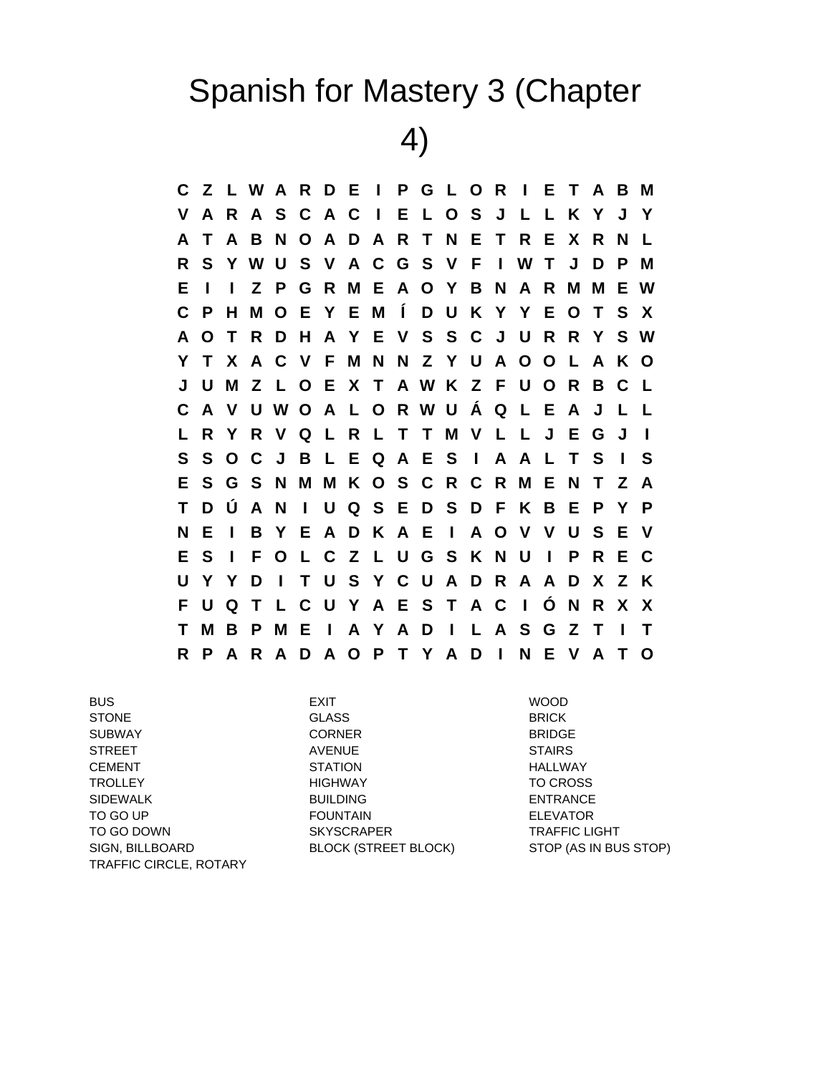## Spanish for Mastery 3 (Chapter

4)

**C Z L W A R D E I P G L O R I E T A B M V A R A S C A C I E L O S J L L K Y J Y A T A B N O A D A R T N E T R E X R N L R S Y W U S V A C G S V F I W T J D P M E I I Z P G R M E A O Y B N A R M M E W C P H M O E Y E M Í D U K Y Y E O T S X A O T R D H A Y E V S S C J U R R Y S W Y T X A C V F M N N Z Y U A O O L A K O J U M Z L O E X T A W K Z F U O R B C L C A V U W O A L O R W U Á Q L E A J L L L R Y R V Q L R L T T M V L L J E G J I S S O C J B L E Q A E S I A A L T S I S E S G S N M M K O S C R C R M E N T Z A T D Ú A N I U Q S E D S D F K B E P Y P N E I B Y E A D K A E I A O V V U S E V E S I F O L C Z L U G S K N U I P R E C U Y Y D I T U S Y C U A D R A A D X Z K F U Q T L C U Y A E S T A C I Ó N R X X T M B P M E I A Y A D I L A S G Z T I T R P A R A D A O P T Y A D I N E V A T O**

BUS EXIT WOOD STONE BRICK GLASS BRICK SUBWAY CORNER BRIDGE STREET AVENUE STAIRS CEMENT STATION HALLWAY TROLLEY HIGHWAY TO CROSS SIDEWALK BUILDING BUILDING ENTRANCE TO GO UP FOUNTAIN ELEVATOR TO GO DOWN SKYSCRAPER TO GO DOWN SIGN, BILLBOARD BLOCK (STREET BLOCK) STOP (AS IN BUS STOP) TRAFFIC CIRCLE, ROTARY